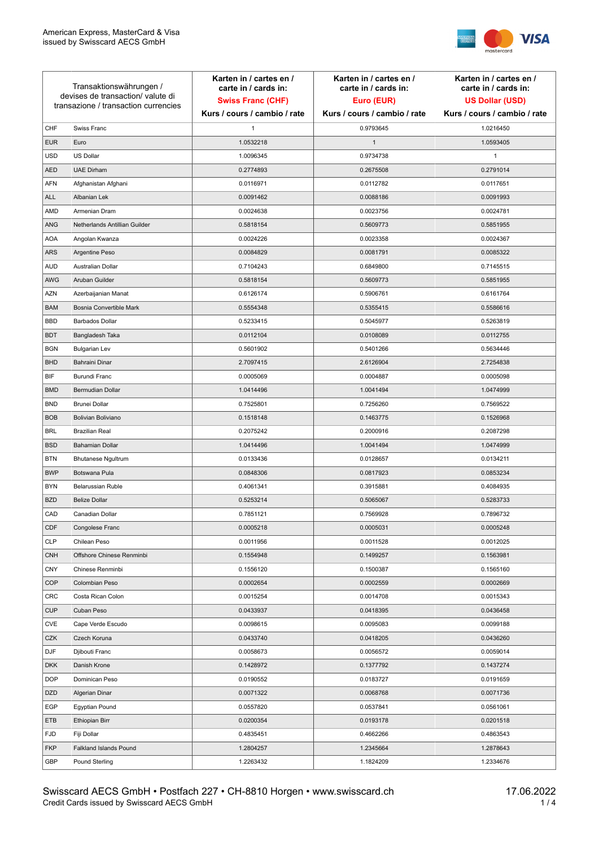

| Transaktionswährungen /<br>devises de transaction/valute di<br>transazione / transaction currencies |                               | Karten in / cartes en /<br>carte in / cards in:<br><b>Swiss Franc (CHF)</b> | Karten in / cartes en /<br>carte in / cards in:<br>Euro (EUR) | Karten in / cartes en /<br>carte in / cards in:<br><b>US Dollar (USD)</b> |
|-----------------------------------------------------------------------------------------------------|-------------------------------|-----------------------------------------------------------------------------|---------------------------------------------------------------|---------------------------------------------------------------------------|
|                                                                                                     |                               | Kurs / cours / cambio / rate                                                | Kurs / cours / cambio / rate                                  | Kurs / cours / cambio / rate                                              |
| CHF                                                                                                 | Swiss Franc                   | 1                                                                           | 0.9793645                                                     | 1.0216450                                                                 |
| <b>EUR</b>                                                                                          | Euro                          | 1.0532218                                                                   | $\mathbf{1}$                                                  | 1.0593405                                                                 |
| <b>USD</b>                                                                                          | <b>US Dollar</b>              | 1.0096345                                                                   | 0.9734738                                                     | $\mathbf{1}$                                                              |
| <b>AED</b>                                                                                          | <b>UAE Dirham</b>             | 0.2774893                                                                   | 0.2675508                                                     | 0.2791014                                                                 |
| AFN                                                                                                 | Afghanistan Afghani           | 0.0116971                                                                   | 0.0112782                                                     | 0.0117651                                                                 |
| <b>ALL</b>                                                                                          | Albanian Lek                  | 0.0091462                                                                   | 0.0088186                                                     | 0.0091993                                                                 |
| AMD                                                                                                 | Armenian Dram                 | 0.0024638                                                                   | 0.0023756                                                     | 0.0024781                                                                 |
| <b>ANG</b>                                                                                          | Netherlands Antillian Guilder | 0.5818154                                                                   | 0.5609773                                                     | 0.5851955                                                                 |
| <b>AOA</b>                                                                                          | Angolan Kwanza                | 0.0024226                                                                   | 0.0023358                                                     | 0.0024367                                                                 |
| <b>ARS</b>                                                                                          | Argentine Peso                | 0.0084829                                                                   | 0.0081791                                                     | 0.0085322                                                                 |
| <b>AUD</b>                                                                                          | Australian Dollar             | 0.7104243                                                                   | 0.6849800                                                     | 0.7145515                                                                 |
| AWG                                                                                                 | Aruban Guilder                | 0.5818154                                                                   | 0.5609773                                                     | 0.5851955                                                                 |
| <b>AZN</b>                                                                                          | Azerbaijanian Manat           | 0.6126174                                                                   | 0.5906761                                                     | 0.6161764                                                                 |
| <b>BAM</b>                                                                                          | Bosnia Convertible Mark       | 0.5554348                                                                   | 0.5355415                                                     | 0.5586616                                                                 |
| <b>BBD</b>                                                                                          | <b>Barbados Dollar</b>        | 0.5233415                                                                   | 0.5045977                                                     | 0.5263819                                                                 |
| <b>BDT</b>                                                                                          | Bangladesh Taka               | 0.0112104                                                                   | 0.0108089                                                     | 0.0112755                                                                 |
| <b>BGN</b>                                                                                          | <b>Bulgarian Lev</b>          | 0.5601902                                                                   | 0.5401266                                                     | 0.5634446                                                                 |
| <b>BHD</b>                                                                                          | Bahraini Dinar                | 2.7097415                                                                   | 2.6126904                                                     | 2.7254838                                                                 |
| BIF                                                                                                 | Burundi Franc                 | 0.0005069                                                                   | 0.0004887                                                     | 0.0005098                                                                 |
| <b>BMD</b>                                                                                          | Bermudian Dollar              | 1.0414496                                                                   | 1.0041494                                                     | 1.0474999                                                                 |
| <b>BND</b>                                                                                          | <b>Brunei Dollar</b>          | 0.7525801                                                                   | 0.7256260                                                     | 0.7569522                                                                 |
| <b>BOB</b>                                                                                          | Bolivian Boliviano            | 0.1518148                                                                   | 0.1463775                                                     | 0.1526968                                                                 |
| <b>BRL</b>                                                                                          | <b>Brazilian Real</b>         | 0.2075242                                                                   | 0.2000916                                                     | 0.2087298                                                                 |
| <b>BSD</b>                                                                                          | <b>Bahamian Dollar</b>        | 1.0414496                                                                   | 1.0041494                                                     | 1.0474999                                                                 |
| <b>BTN</b>                                                                                          | <b>Bhutanese Ngultrum</b>     | 0.0133436                                                                   | 0.0128657                                                     | 0.0134211                                                                 |
| <b>BWP</b>                                                                                          | Botswana Pula                 | 0.0848306                                                                   | 0.0817923                                                     | 0.0853234                                                                 |
| <b>BYN</b>                                                                                          | Belarussian Ruble             | 0.4061341                                                                   | 0.3915881                                                     | 0.4084935                                                                 |
| <b>BZD</b>                                                                                          | <b>Belize Dollar</b>          | 0.5253214                                                                   | 0.5065067                                                     | 0.5283733                                                                 |
| CAD                                                                                                 | Canadian Dollar               | 0.7851121                                                                   | 0.7569928                                                     | 0.7896732                                                                 |
| CDF                                                                                                 | Congolese Franc               | 0.0005218                                                                   | 0.0005031                                                     | 0.0005248                                                                 |
| <b>CLP</b>                                                                                          | Chilean Peso                  | 0.0011956                                                                   | 0.0011528                                                     | 0.0012025                                                                 |
| <b>CNH</b>                                                                                          | Offshore Chinese Renminbi     | 0.1554948                                                                   | 0.1499257                                                     | 0.1563981                                                                 |
| <b>CNY</b>                                                                                          | Chinese Renminbi              | 0.1556120                                                                   | 0.1500387                                                     | 0.1565160                                                                 |
| <b>COP</b>                                                                                          | Colombian Peso                | 0.0002654                                                                   | 0.0002559                                                     | 0.0002669                                                                 |
| <b>CRC</b>                                                                                          | Costa Rican Colon             | 0.0015254                                                                   | 0.0014708                                                     | 0.0015343                                                                 |
| <b>CUP</b>                                                                                          | Cuban Peso                    | 0.0433937                                                                   | 0.0418395                                                     | 0.0436458                                                                 |
| CVE                                                                                                 | Cape Verde Escudo             | 0.0098615                                                                   | 0.0095083                                                     | 0.0099188                                                                 |
| CZK                                                                                                 | Czech Koruna                  | 0.0433740                                                                   | 0.0418205                                                     | 0.0436260                                                                 |
| <b>DJF</b>                                                                                          | Djibouti Franc                | 0.0058673                                                                   | 0.0056572                                                     | 0.0059014                                                                 |
| <b>DKK</b>                                                                                          | Danish Krone                  | 0.1428972                                                                   | 0.1377792                                                     | 0.1437274                                                                 |
| <b>DOP</b>                                                                                          | Dominican Peso                | 0.0190552                                                                   | 0.0183727                                                     | 0.0191659                                                                 |
| <b>DZD</b>                                                                                          | Algerian Dinar                | 0.0071322                                                                   | 0.0068768                                                     | 0.0071736                                                                 |
| EGP                                                                                                 | <b>Egyptian Pound</b>         | 0.0557820                                                                   | 0.0537841                                                     | 0.0561061                                                                 |
| ETB                                                                                                 | Ethiopian Birr                | 0.0200354                                                                   | 0.0193178                                                     | 0.0201518                                                                 |
| <b>FJD</b>                                                                                          | Fiji Dollar                   | 0.4835451                                                                   | 0.4662266                                                     | 0.4863543                                                                 |
| <b>FKP</b>                                                                                          | Falkland Islands Pound        | 1.2804257                                                                   | 1.2345664                                                     | 1.2878643                                                                 |
| GBP                                                                                                 | Pound Sterling                | 1.2263432                                                                   | 1.1824209                                                     | 1.2334676                                                                 |
|                                                                                                     |                               |                                                                             |                                                               |                                                                           |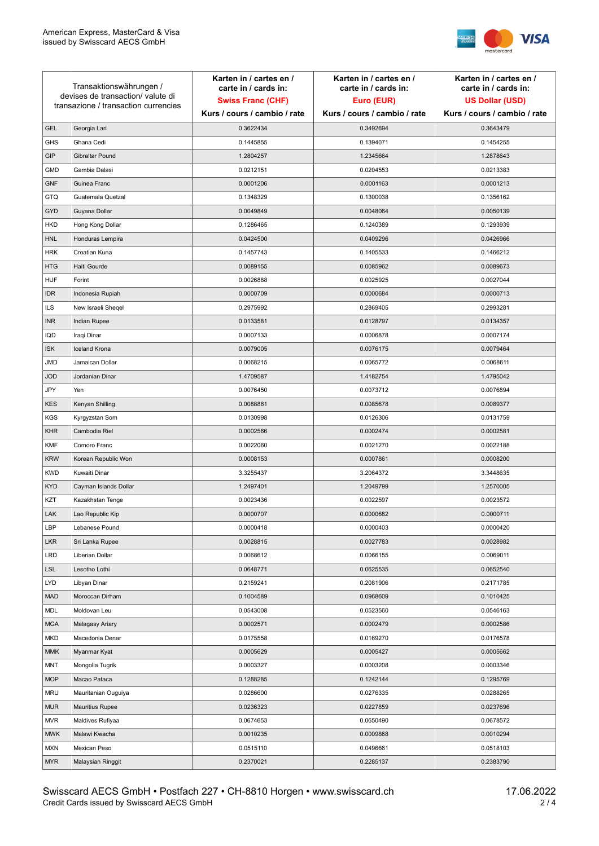

| Transaktionswährungen /<br>devises de transaction/valute di<br>transazione / transaction currencies |                        | Karten in / cartes en /<br>carte in / cards in: | Karten in / cartes en /<br>carte in / cards in: | Karten in / cartes en /<br>carte in / cards in: |
|-----------------------------------------------------------------------------------------------------|------------------------|-------------------------------------------------|-------------------------------------------------|-------------------------------------------------|
|                                                                                                     |                        | <b>Swiss Franc (CHF)</b>                        | Euro (EUR)                                      | <b>US Dollar (USD)</b>                          |
|                                                                                                     |                        | Kurs / cours / cambio / rate                    | Kurs / cours / cambio / rate                    | Kurs / cours / cambio / rate                    |
| <b>GEL</b>                                                                                          | Georgia Lari           | 0.3622434                                       | 0.3492694                                       | 0.3643479                                       |
| <b>GHS</b>                                                                                          | Ghana Cedi             | 0.1445855                                       | 0.1394071                                       | 0.1454255                                       |
| GIP                                                                                                 | Gibraltar Pound        | 1.2804257                                       | 1.2345664                                       | 1.2878643                                       |
| <b>GMD</b>                                                                                          | Gambia Dalasi          | 0.0212151                                       | 0.0204553                                       | 0.0213383                                       |
| <b>GNF</b>                                                                                          | Guinea Franc           | 0.0001206                                       | 0.0001163                                       | 0.0001213                                       |
| <b>GTQ</b>                                                                                          | Guatemala Quetzal      | 0.1348329                                       | 0.1300038                                       | 0.1356162                                       |
| GYD                                                                                                 | Guyana Dollar          | 0.0049849                                       | 0.0048064                                       | 0.0050139                                       |
| HKD                                                                                                 | Hong Kong Dollar       | 0.1286465                                       | 0.1240389                                       | 0.1293939                                       |
| <b>HNL</b>                                                                                          | Honduras Lempira       | 0.0424500                                       | 0.0409296                                       | 0.0426966                                       |
| <b>HRK</b>                                                                                          | Croatian Kuna          | 0.1457743                                       | 0.1405533                                       | 0.1466212                                       |
| <b>HTG</b>                                                                                          | Haiti Gourde           | 0.0089155                                       | 0.0085962                                       | 0.0089673                                       |
| <b>HUF</b>                                                                                          | Forint                 | 0.0026888                                       | 0.0025925                                       | 0.0027044                                       |
| <b>IDR</b>                                                                                          | Indonesia Rupiah       | 0.0000709                                       | 0.0000684                                       | 0.0000713                                       |
| <b>ILS</b>                                                                                          | New Israeli Sheqel     | 0.2975992                                       | 0.2869405                                       | 0.2993281                                       |
| <b>INR</b>                                                                                          | Indian Rupee           | 0.0133581                                       | 0.0128797                                       | 0.0134357                                       |
| IQD                                                                                                 | Iraqi Dinar            | 0.0007133                                       | 0.0006878                                       | 0.0007174                                       |
| <b>ISK</b>                                                                                          | <b>Iceland Krona</b>   | 0.0079005                                       | 0.0076175                                       | 0.0079464                                       |
| <b>JMD</b>                                                                                          | Jamaican Dollar        | 0.0068215                                       | 0.0065772                                       | 0.0068611                                       |
| <b>JOD</b>                                                                                          | Jordanian Dinar        | 1.4709587                                       | 1.4182754                                       | 1.4795042                                       |
| JPY                                                                                                 | Yen                    | 0.0076450                                       | 0.0073712                                       | 0.0076894                                       |
| <b>KES</b>                                                                                          | Kenyan Shilling        | 0.0088861                                       | 0.0085678                                       | 0.0089377                                       |
| <b>KGS</b>                                                                                          | Kyrgyzstan Som         | 0.0130998                                       | 0.0126306                                       | 0.0131759                                       |
| <b>KHR</b>                                                                                          | Cambodia Riel          | 0.0002566                                       | 0.0002474                                       | 0.0002581                                       |
| <b>KMF</b>                                                                                          | Comoro Franc           | 0.0022060                                       | 0.0021270                                       | 0.0022188                                       |
| <b>KRW</b>                                                                                          | Korean Republic Won    | 0.0008153                                       | 0.0007861                                       | 0.0008200                                       |
| <b>KWD</b>                                                                                          | Kuwaiti Dinar          | 3.3255437                                       | 3.2064372                                       | 3.3448635                                       |
| <b>KYD</b>                                                                                          | Cayman Islands Dollar  | 1.2497401                                       | 1.2049799                                       | 1.2570005                                       |
| KZT                                                                                                 | Kazakhstan Tenge       | 0.0023436                                       | 0.0022597                                       | 0.0023572                                       |
| LAK                                                                                                 | Lao Republic Kip       | 0.0000707                                       | 0.0000682                                       | 0.0000711                                       |
| LBP                                                                                                 | Lebanese Pound         | 0.0000418                                       | 0.0000403                                       | 0.0000420                                       |
| <b>LKR</b>                                                                                          | Sri Lanka Rupee        | 0.0028815                                       | 0.0027783                                       | 0.0028982                                       |
| <b>LRD</b>                                                                                          | Liberian Dollar        | 0.0068612                                       | 0.0066155                                       | 0.0069011                                       |
| <b>LSL</b>                                                                                          | Lesotho Lothi          | 0.0648771                                       | 0.0625535                                       | 0.0652540                                       |
| LYD                                                                                                 | Libyan Dinar           | 0.2159241                                       | 0.2081906                                       | 0.2171785                                       |
| <b>MAD</b>                                                                                          | Moroccan Dirham        | 0.1004589                                       | 0.0968609                                       | 0.1010425                                       |
| MDL                                                                                                 | Moldovan Leu           | 0.0543008                                       | 0.0523560                                       | 0.0546163                                       |
| <b>MGA</b>                                                                                          | Malagasy Ariary        | 0.0002571                                       | 0.0002479                                       | 0.0002586                                       |
| MKD                                                                                                 | Macedonia Denar        | 0.0175558                                       | 0.0169270                                       | 0.0176578                                       |
| <b>MMK</b>                                                                                          | Myanmar Kyat           | 0.0005629                                       | 0.0005427                                       | 0.0005662                                       |
| <b>MNT</b>                                                                                          | Mongolia Tugrik        | 0.0003327                                       | 0.0003208                                       | 0.0003346                                       |
| <b>MOP</b>                                                                                          | Macao Pataca           | 0.1288285                                       | 0.1242144                                       | 0.1295769                                       |
| <b>MRU</b>                                                                                          | Mauritanian Ouguiya    | 0.0286600                                       | 0.0276335                                       | 0.0288265                                       |
| <b>MUR</b>                                                                                          | <b>Mauritius Rupee</b> | 0.0236323                                       | 0.0227859                                       | 0.0237696                                       |
| <b>MVR</b>                                                                                          | Maldives Rufiyaa       | 0.0674653                                       | 0.0650490                                       | 0.0678572                                       |
| <b>MWK</b>                                                                                          | Malawi Kwacha          | 0.0010235                                       | 0.0009868                                       | 0.0010294                                       |
| <b>MXN</b>                                                                                          | Mexican Peso           | 0.0515110                                       | 0.0496661                                       | 0.0518103                                       |
| <b>MYR</b>                                                                                          | Malaysian Ringgit      | 0.2370021                                       | 0.2285137                                       | 0.2383790                                       |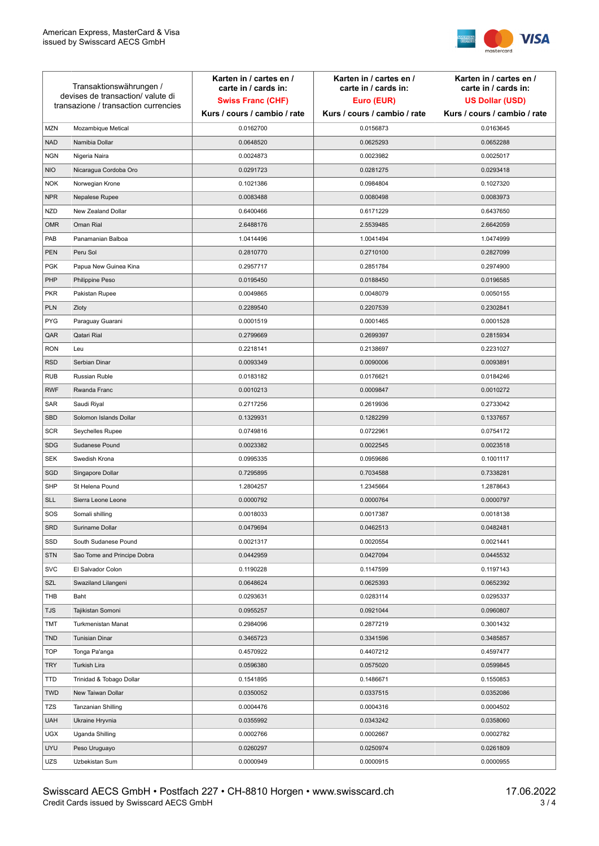

| Transaktionswährungen /<br>devises de transaction/valute di<br>transazione / transaction currencies |                             | Karten in / cartes en /<br>carte in / cards in:<br><b>Swiss Franc (CHF)</b> | Karten in / cartes en /<br>carte in / cards in:<br>Euro (EUR) | Karten in / cartes en /<br>carte in / cards in:<br><b>US Dollar (USD)</b> |
|-----------------------------------------------------------------------------------------------------|-----------------------------|-----------------------------------------------------------------------------|---------------------------------------------------------------|---------------------------------------------------------------------------|
|                                                                                                     |                             | Kurs / cours / cambio / rate                                                | Kurs / cours / cambio / rate                                  | Kurs / cours / cambio / rate                                              |
| <b>MZN</b>                                                                                          | Mozambique Metical          | 0.0162700                                                                   | 0.0156873                                                     | 0.0163645                                                                 |
| <b>NAD</b>                                                                                          | Namibia Dollar              | 0.0648520                                                                   | 0.0625293                                                     | 0.0652288                                                                 |
| <b>NGN</b>                                                                                          | Nigeria Naira               | 0.0024873                                                                   | 0.0023982                                                     | 0.0025017                                                                 |
| <b>NIO</b>                                                                                          | Nicaragua Cordoba Oro       | 0.0291723                                                                   | 0.0281275                                                     | 0.0293418                                                                 |
| <b>NOK</b>                                                                                          | Norwegian Krone             | 0.1021386                                                                   | 0.0984804                                                     | 0.1027320                                                                 |
| <b>NPR</b>                                                                                          | Nepalese Rupee              | 0.0083488                                                                   | 0.0080498                                                     | 0.0083973                                                                 |
| <b>NZD</b>                                                                                          | New Zealand Dollar          | 0.6400466                                                                   | 0.6171229                                                     | 0.6437650                                                                 |
| <b>OMR</b>                                                                                          | Oman Rial                   | 2.6488176                                                                   | 2.5539485                                                     | 2.6642059                                                                 |
| PAB                                                                                                 | Panamanian Balboa           | 1.0414496                                                                   | 1.0041494                                                     | 1.0474999                                                                 |
| <b>PEN</b>                                                                                          | Peru Sol                    | 0.2810770                                                                   | 0.2710100                                                     | 0.2827099                                                                 |
| <b>PGK</b>                                                                                          | Papua New Guinea Kina       | 0.2957717                                                                   | 0.2851784                                                     | 0.2974900                                                                 |
| PHP                                                                                                 | Philippine Peso             | 0.0195450                                                                   | 0.0188450                                                     | 0.0196585                                                                 |
| <b>PKR</b>                                                                                          | Pakistan Rupee              | 0.0049865                                                                   | 0.0048079                                                     | 0.0050155                                                                 |
| <b>PLN</b>                                                                                          | Zloty                       | 0.2289540                                                                   | 0.2207539                                                     | 0.2302841                                                                 |
| <b>PYG</b>                                                                                          | Paraguay Guarani            | 0.0001519                                                                   | 0.0001465                                                     | 0.0001528                                                                 |
| QAR                                                                                                 | Qatari Rial                 | 0.2799669                                                                   | 0.2699397                                                     | 0.2815934                                                                 |
| <b>RON</b>                                                                                          | Leu                         | 0.2218141                                                                   | 0.2138697                                                     | 0.2231027                                                                 |
| <b>RSD</b>                                                                                          | Serbian Dinar               | 0.0093349                                                                   | 0.0090006                                                     | 0.0093891                                                                 |
| <b>RUB</b>                                                                                          | Russian Ruble               | 0.0183182                                                                   | 0.0176621                                                     | 0.0184246                                                                 |
| <b>RWF</b>                                                                                          | Rwanda Franc                | 0.0010213                                                                   | 0.0009847                                                     | 0.0010272                                                                 |
| SAR                                                                                                 | Saudi Riyal                 | 0.2717256                                                                   | 0.2619936                                                     | 0.2733042                                                                 |
| SBD                                                                                                 | Solomon Islands Dollar      | 0.1329931                                                                   | 0.1282299                                                     | 0.1337657                                                                 |
| <b>SCR</b>                                                                                          | Seychelles Rupee            | 0.0749816                                                                   | 0.0722961                                                     | 0.0754172                                                                 |
| <b>SDG</b>                                                                                          | Sudanese Pound              | 0.0023382                                                                   | 0.0022545                                                     | 0.0023518                                                                 |
| <b>SEK</b>                                                                                          | Swedish Krona               | 0.0995335                                                                   | 0.0959686                                                     | 0.1001117                                                                 |
| SGD                                                                                                 | Singapore Dollar            | 0.7295895                                                                   | 0.7034588                                                     | 0.7338281                                                                 |
| <b>SHP</b>                                                                                          | St Helena Pound             | 1.2804257                                                                   | 1.2345664                                                     | 1.2878643                                                                 |
| <b>SLL</b>                                                                                          | Sierra Leone Leone          | 0.0000792                                                                   | 0.0000764                                                     | 0.0000797                                                                 |
| SOS                                                                                                 | Somali shilling             | 0.0018033                                                                   | 0.0017387                                                     | 0.0018138                                                                 |
| SRD                                                                                                 | Suriname Dollar             | 0.0479694                                                                   | 0.0462513                                                     | 0.0482481                                                                 |
| SSD                                                                                                 | South Sudanese Pound        | 0.0021317                                                                   | 0.0020554                                                     | 0.0021441                                                                 |
| <b>STN</b>                                                                                          | Sao Tome and Principe Dobra | 0.0442959                                                                   | 0.0427094                                                     | 0.0445532                                                                 |
| <b>SVC</b>                                                                                          | El Salvador Colon           | 0.1190228                                                                   | 0.1147599                                                     | 0.1197143                                                                 |
| SZL                                                                                                 | Swaziland Lilangeni         | 0.0648624                                                                   | 0.0625393                                                     | 0.0652392                                                                 |
| THB                                                                                                 | Baht                        | 0.0293631                                                                   | 0.0283114                                                     | 0.0295337                                                                 |
| TJS                                                                                                 | Tajikistan Somoni           | 0.0955257                                                                   | 0.0921044                                                     | 0.0960807                                                                 |
| <b>TMT</b>                                                                                          | Turkmenistan Manat          | 0.2984096                                                                   | 0.2877219                                                     | 0.3001432                                                                 |
| <b>TND</b>                                                                                          | <b>Tunisian Dinar</b>       | 0.3465723                                                                   | 0.3341596                                                     | 0.3485857                                                                 |
| <b>TOP</b>                                                                                          | Tonga Pa'anga               | 0.4570922                                                                   | 0.4407212                                                     | 0.4597477                                                                 |
| <b>TRY</b>                                                                                          | Turkish Lira                | 0.0596380                                                                   | 0.0575020                                                     | 0.0599845                                                                 |
| TTD                                                                                                 | Trinidad & Tobago Dollar    | 0.1541895                                                                   | 0.1486671                                                     | 0.1550853                                                                 |
| <b>TWD</b>                                                                                          | New Taiwan Dollar           | 0.0350052                                                                   | 0.0337515                                                     | 0.0352086                                                                 |
| <b>TZS</b>                                                                                          | Tanzanian Shilling          | 0.0004476                                                                   | 0.0004316                                                     | 0.0004502                                                                 |
| <b>UAH</b>                                                                                          | Ukraine Hryvnia             | 0.0355992                                                                   | 0.0343242                                                     | 0.0358060                                                                 |
| <b>UGX</b>                                                                                          | Uganda Shilling             | 0.0002766                                                                   | 0.0002667                                                     | 0.0002782                                                                 |
| <b>UYU</b>                                                                                          | Peso Uruguayo               | 0.0260297                                                                   | 0.0250974                                                     | 0.0261809                                                                 |
| UZS                                                                                                 | Uzbekistan Sum              | 0.0000949                                                                   | 0.0000915                                                     | 0.0000955                                                                 |